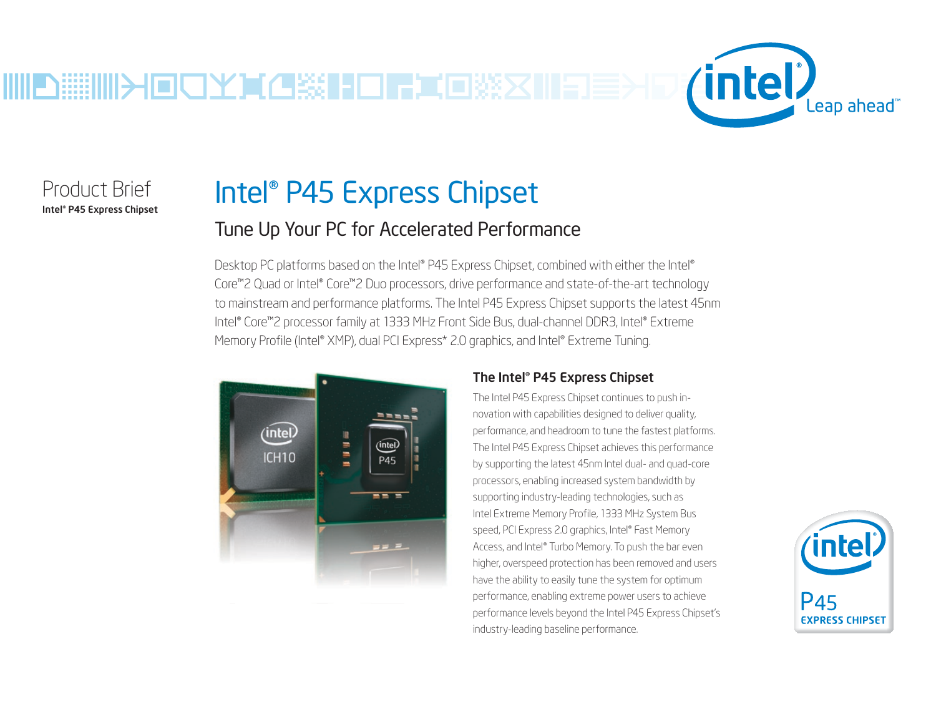

Product Brief Intel® P45 Express Chipset

# Intel® P45 Express Chipset

# Tune Up Your PC for Accelerated Performance

Desktop PC platforms based on the Intel® P45 Express Chipset, combined with either the Intel® Core™2 Quad or Intel® Core™2 Duo processors, drive performance and state-of-the-art technology to mainstream and performance platforms. The Intel P45 Express Chipset supports the latest 45nm Intel® Core™2 processor family at 1333 MHz Front Side Bus, dual-channel DDR3, Intel® Extreme Memory Profile (Intel® XMP), dual PCI Express\* 2.0 graphics, and Intel® Extreme Tuning.



## The Intel® P45 Express Chipset

The Intel P45 Express Chipset continues to push innovation with capabilities designed to deliver quality, performance, and headroom to tune the fastest platforms. The Intel P45 Express Chipset achieves this performance by supporting the latest 45nm Intel dual- and quad-core processors, enabling increased system bandwidth by supporting industry-leading technologies, such as Intel Extreme Memory Profile, 1333 MHz System Bus speed, PCI Express 2.0 graphics, Intel® Fast Memory Access, and Intel® Turbo Memory. To push the bar even higher, overspeed protection has been removed and users have the ability to easily tune the system for optimum performance, enabling extreme power users to achieve performance levels beyond the Intel P45 Express Chipset's industry-leading baseline performance.

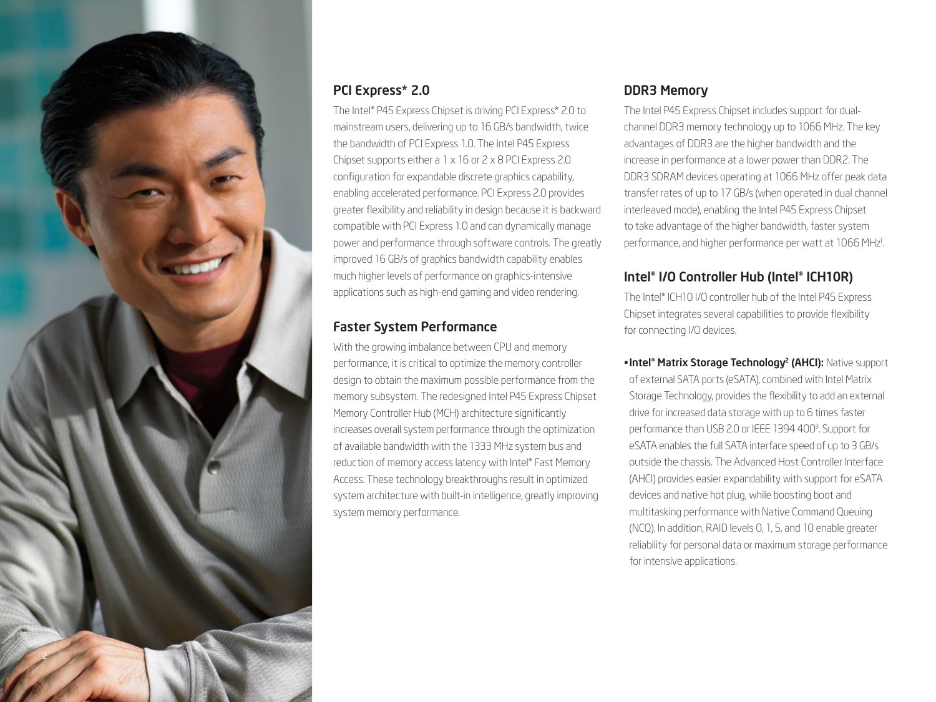

# PCI Express\* 2.0

The Intel® P45 Express Chipset is driving PCI Express\* 2.0 to mainstream users, delivering up to 16 GB/s bandwidth, twice the bandwidth of PCI Express 1.0. The Intel P45 Express Chipset supports either a 1 x 16 or 2 x 8 PCI Express 2.0 configuration for expandable discrete graphics capability, enabling accelerated performance. PCI Express 2.0 provides greater flexibility and reliability in design because it is backward compatible with PCI Express 1.0 and can dynamically manage power and performance through software controls. The greatly improved 16 GB/s of graphics bandwidth capability enables much higher levels of performance on graphics-intensive applications such as high-end gaming and video rendering.

### Faster System Performance

With the growing imbalance between CPU and memory performance, it is critical to optimize the memory controller design to obtain the maximum possible performance from the memory subsystem. The redesigned Intel P45 Express Chipset Memory Controller Hub (MCH) architecture significantly increases overall system performance through the optimization of available bandwidth with the 1333 MHz system bus and reduction of memory access latency with Intel® Fast Memory Access. These technology breakthroughs result in optimized system architecture with built-in intelligence, greatly improving system memory performance.

## DDR3 Memory

The Intel P45 Express Chipset includes support for dualchannel DDR3 memory technology up to 1066 MHz. The key advantages of DDR3 are the higher bandwidth and the increase in performance at a lower power than DDR2. The DDR3 SDRAM devices operating at 1066 MHz offer peak data transfer rates of up to 17 GB/s (when operated in dual channel interleaved mode), enabling the Intel P45 Express Chipset to take advantage of the higher bandwidth, faster system performance, and higher performance per watt at 1066 MHz<sup>1</sup>. .

## Intel® I/O Controller Hub (Intel® ICH10R)

The Intel® ICH10 I/O controller hub of the Intel P45 Express Chipset integrates several capabilities to provide flexibility for connecting I/O devices.

**• Intel<sup>®</sup> Matrix Storage Technology<sup>2</sup> (AHCI): Native support** of external SATA ports (eSATA), combined with Intel Matrix Storage Technology, provides the flexibility to add an external drive for increased data storage with up to 6 times faster performance than USB 2.0 or IEEE 1394 400<sup>3</sup>. Support for eSATA enables the full SATA interface speed of up to 3 GB/s outside the chassis. The Advanced Host Controller Interface (AHCI) provides easier expandability with support for eSATA devices and native hot plug, while boosting boot and multitasking performance with Native Command Queuing (NCQ). In addition, RAID levels 0, 1, 5, and 10 enable greater reliability for personal data or maximum storage performance for intensive applications.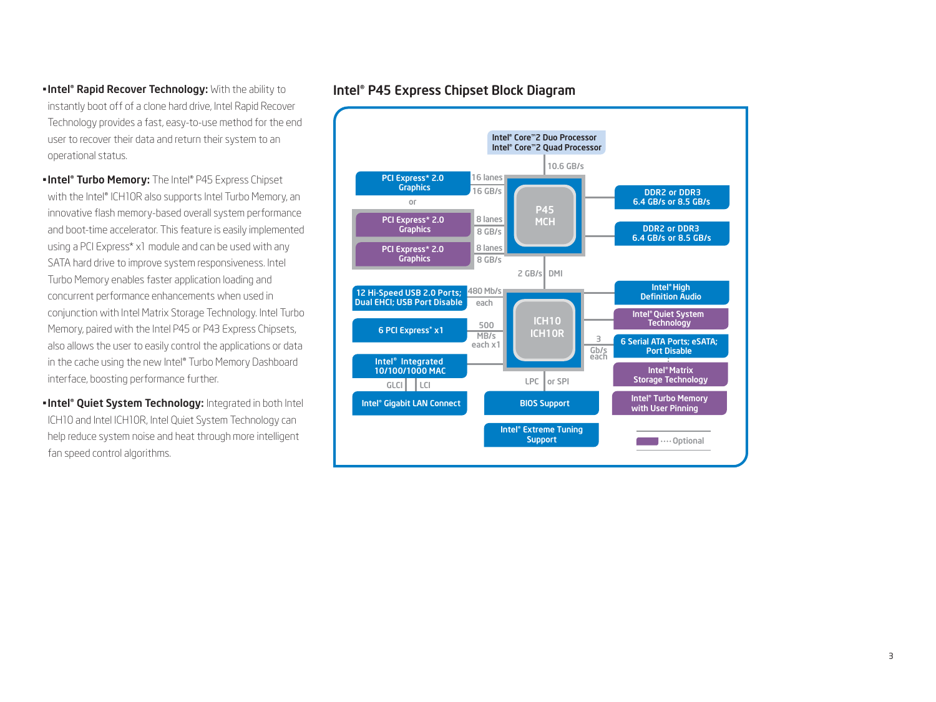#### **- Intel® Rapid Recover Technology:** With the ability to instantly boot off of a clone hard drive, Intel Rapid Recover Technology provides a fast, easy-to-use method for the end user to recover their data and return their system to an operational status.

- **Intel® Turbo Memory:** The Intel® P45 Express Chipset with the Intel® ICH10R also supports Intel Turbo Memory, an innovative flash memory-based overall system performance and boot-time accelerator. This feature is easily implemented using a PCI Express\* x1 module and can be used with any SATA hard drive to improve system responsiveness. Intel Turbo Memory enables faster application loading and concurrent performance enhancements when used in conjunction with Intel Matrix Storage Technology. Intel Turbo Memory, paired with the Intel P45 or P43 Express Chipsets, also allows the user to easily control the applications or data in the cache using the new Intel® Turbo Memory Dashboard interface, boosting performance further.
- **Intel® Quiet System Technology:** Integrated in both Intel ICH10 and Intel ICH10R, Intel Quiet System Technology can help reduce system noise and heat through more intelligent fan speed control algorithms.

# Intel® P45 Express Chipset Block Diagram